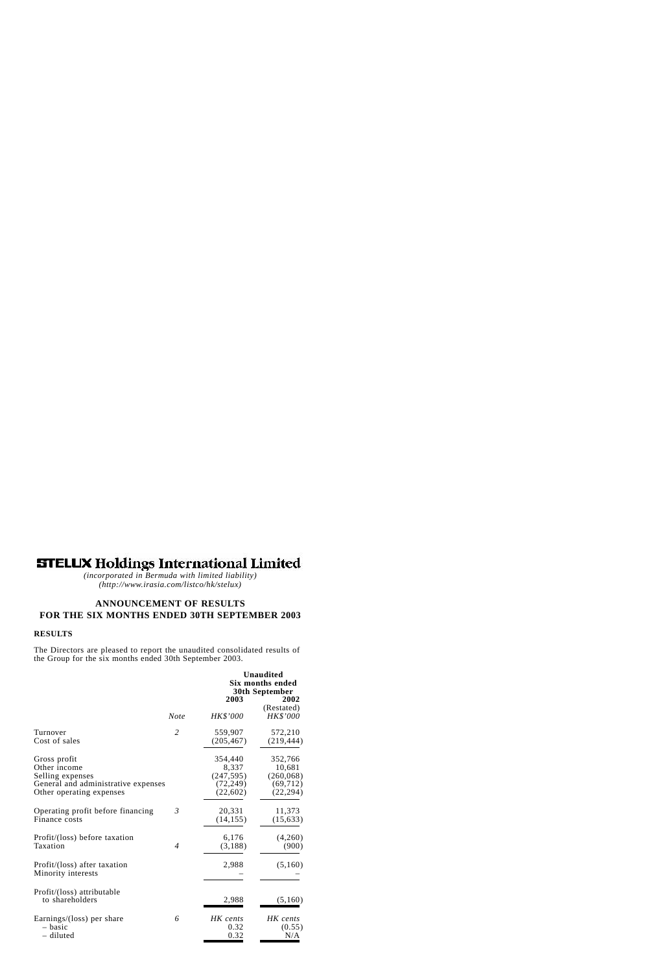# **STELUX Holdings International Limited**

*(incorporated in Bermuda with limited liability) (http://www.irasia.com/listco/hk/stelux)*

# **ANNOUNCEMENT OF RESULTS FOR THE SIX MONTHS ENDED 30TH SEPTEMBER 2003**

### **RESULTS**

The Directors are pleased to report the unaudited consolidated results of the Group for the six months ended 30th September 2003.

|                                                    |                |            | <b>Unaudited</b><br><b>Six months ended</b><br>30th September |  |  |
|----------------------------------------------------|----------------|------------|---------------------------------------------------------------|--|--|
|                                                    |                | 2003       | 2002                                                          |  |  |
|                                                    | <b>Note</b>    | HK\$'000   | (Restated)<br><b>HK\$'000</b>                                 |  |  |
| Turnover                                           | $\overline{2}$ | 559,907    | 572,210                                                       |  |  |
| Cost of sales                                      |                | (205, 467) | (219, 444)                                                    |  |  |
| Gross profit                                       |                | 354,440    | 352,766                                                       |  |  |
| Other income                                       |                | 8,337      | 10,681                                                        |  |  |
| Selling expenses                                   |                | (247, 595) | (260, 068)                                                    |  |  |
| General and administrative expenses                |                | (72, 249)  | (69, 712)                                                     |  |  |
| Other operating expenses                           |                | (22,602)   | (22, 294)                                                     |  |  |
| Operating profit before financing                  | $\mathfrak{Z}$ | 20,331     | 11,373                                                        |  |  |
| Finance costs                                      |                | (14, 155)  | (15, 633)                                                     |  |  |
| Profit/(loss) before taxation                      | $\overline{4}$ | 6,176      | (4,260)                                                       |  |  |
| Taxation                                           |                | (3,188)    | (900)                                                         |  |  |
| Profit/(loss) after taxation<br>Minority interests |                | 2,988      | (5,160)                                                       |  |  |
| Profit/(loss) attributable<br>to shareholders      |                | 2,988      | (5,160)                                                       |  |  |
| Earnings/(loss) per share                          | 6              | HK cents   | HK cents                                                      |  |  |
| - basic                                            |                | 0.32       | (0.55)                                                        |  |  |
| - diluted                                          |                | 0.32       | N/A                                                           |  |  |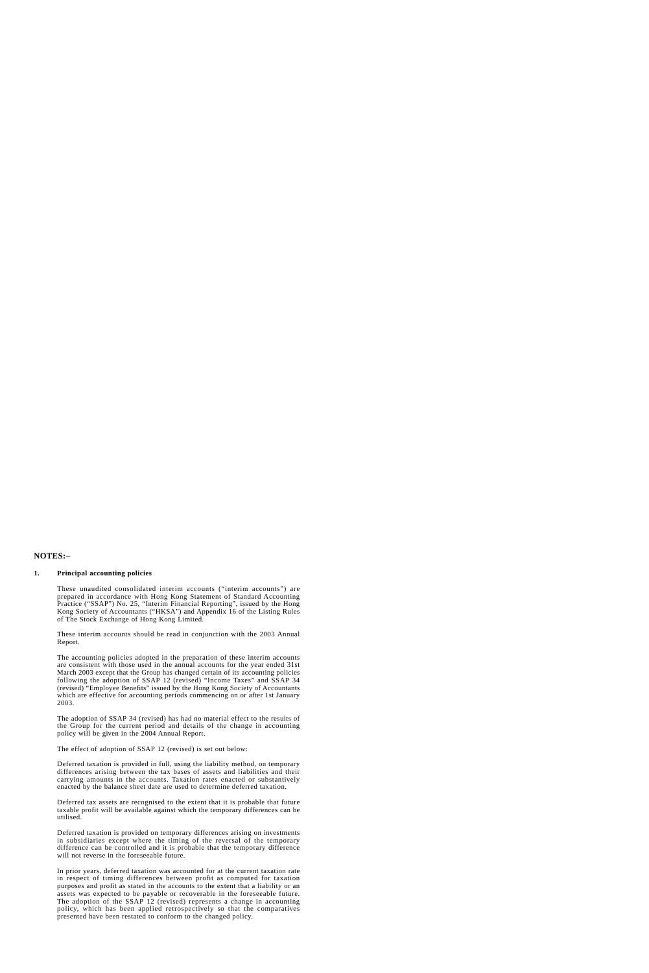### **NOTES:–**

#### **1. Principal accounting policies**

These unaudited consolidated interim accounts ("interim accounts") are prepared in accordance with Hong Kong Statement of Standard Accounting Practice ("SSAP") No. 25, "Interim Financial Reporting", issued by the Hong Kong Society of Accountants ("HKSA") and Appendix 16 of the Listing Rules of The Stock Exchange of Hong Kong Limited.

These interim accounts should be read in conjunction with the 2003 Annual Report.

The accounting policies adopted in the preparation of these interim accounts are consistent with those used in the annual accounts for the year ended 31st March 2003 except that the Group has changed certain of its accounting policies following the adoption of SSAP 12 (revised) "Income Taxes" and SSAP 34 (revised) "Employee Benefits" issued by the Hong Kong Society of Accountants which are effective for accounting periods commencing on or after 1st January 2003.

The adoption of SSAP 34 (revised) has had no material effect to the results of the Group for the current period and details of the change in accounting policy will be given in the 2004 Annual Report.

The effect of adoption of SSAP 12 (revised) is set out below:

Deferred taxation is provided in full, using the liability method, on temporary differences arising between the tax bases of assets and liabilities and their carrying amounts in the accounts. Taxation rates enacted or substantively enacted by the balance sheet date are used to determine deferred taxation.

Deferred tax assets are recognised to the extent that it is probable that future taxable profit will be available against which the temporary differences can be utilised.

Deferred taxation is provided on temporary differences arising on investments in subsidiaries except where the timing of the reversal of the temporary difference can be controlled and it is probable that the temporary difference will not reverse in the foreseeable future.

In prior years, deferred taxation was accounted for at the current taxation rate in respect of timing differences between profit as computed for taxation purposes and profit as stated in the accounts to the extent that a liability or an assets was expected to be payable or recoverable in the foreseeable future. The adoption of the SSAP 12 (revised) represents a change in accounting policy, which has been applied retrospectively so that the comparatives presented have been restated to conform to the changed policy.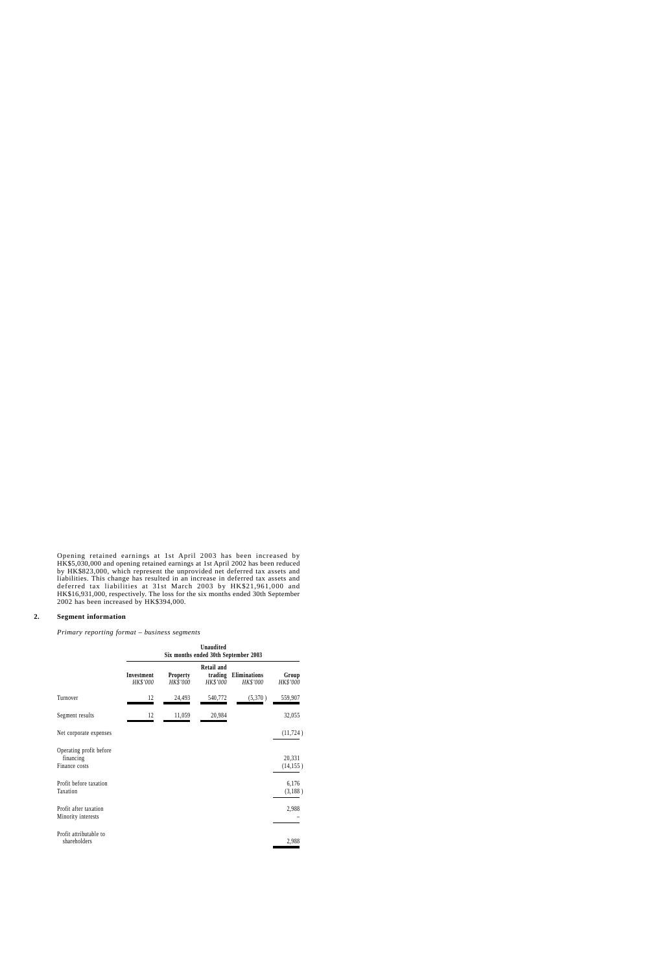Opening retained earnings at 1st April 2003 has been increased by HK\$5,030,000 and opening retained earnings at 1st April 2002 has been reduced by HK\$823,000, which represent the unprovided net deferred tax assets and liabilities. This change has resulted in an increase in deferred tax assets and deferred tax liabilities at 31st March 2003 by HK\$21,961,000 and HK\$16,931,000, respectively. The loss for the six months ended 30th September 2002 has been increased by HK\$394,000.

#### **2. Segment information**

*Primary reporting format – business segments*

|                                                       | Unaudited<br>Six months ended 30th September 2003 |                             |                                          |                          |                     |
|-------------------------------------------------------|---------------------------------------------------|-----------------------------|------------------------------------------|--------------------------|---------------------|
|                                                       | Investment<br>HK\$'000                            | <b>Property</b><br>HK\$'000 | <b>Retail and</b><br>trading<br>HK\$'000 | Eliminations<br>HK\$'000 | Group<br>HK\$'000   |
| Turnover                                              | 12                                                | 24,493                      | 540,772                                  | (5,370)                  | 559,907             |
| Segment results                                       | 12                                                | 11,059                      | 20,984                                   |                          | 32,055              |
| Net corporate expenses                                |                                                   |                             |                                          |                          | (11, 724)           |
| Operating profit before<br>financing<br>Finance costs |                                                   |                             |                                          |                          | 20,331<br>(14, 155) |
| Profit before taxation<br>Taxation                    |                                                   |                             |                                          |                          | 6,176<br>(3,188)    |
| Profit after taxation<br>Minority interests           |                                                   |                             |                                          |                          | 2,988               |
| Profit attributable to<br>shareholders                |                                                   |                             |                                          |                          | 2,988               |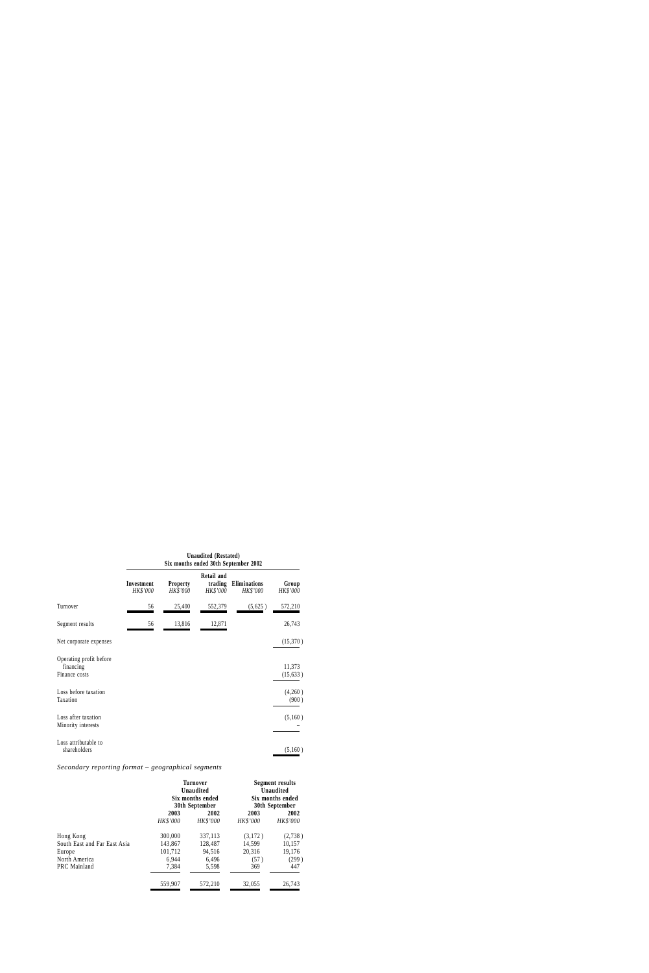|                                                       | Six months ended 30th September 2002 |                             |                                          |                          |                     |
|-------------------------------------------------------|--------------------------------------|-----------------------------|------------------------------------------|--------------------------|---------------------|
|                                                       | Investment<br>HK\$'000               | <b>Property</b><br>HK\$'000 | <b>Retail and</b><br>trading<br>HK\$'000 | Eliminations<br>HK\$'000 | Group<br>HK\$'000   |
| Turnover                                              | 56                                   | 25,400                      | 552,379                                  | (5,625)                  | 572,210             |
| Segment results                                       | 56                                   | 13,816                      | 12,871                                   |                          | 26,743              |
| Net corporate expenses                                |                                      |                             |                                          |                          | (15,370)            |
| Operating profit before<br>financing<br>Finance costs |                                      |                             |                                          |                          | 11,373<br>(15, 633) |
| Loss before taxation<br>Taxation                      |                                      |                             |                                          |                          | (4,260)<br>(900)    |
| Loss after taxation<br>Minority interests             |                                      |                             |                                          |                          | (5,160)             |
| Loss attributable to<br>shareholders                  |                                      |                             |                                          |                          | (5,160)             |

**Unaudited (Restated)**

# *Secondary reporting format – geographical segments*

|                              | <b>Turnover</b><br><b>Unaudited</b><br>Six months ended<br>30th September |          | <b>Segment results</b><br>Unaudited<br>Six months ended<br>30th September |          |
|------------------------------|---------------------------------------------------------------------------|----------|---------------------------------------------------------------------------|----------|
|                              | 2003                                                                      | 2002     | 2003                                                                      | 2002     |
|                              | HK\$'000                                                                  | HK\$'000 | HK\$'000                                                                  | HK\$'000 |
| Hong Kong                    | 300,000                                                                   | 337,113  | (3,172)                                                                   | (2,738)  |
| South East and Far East Asia | 143,867                                                                   | 128,487  | 14,599                                                                    | 10,157   |
| Europe                       | 101,712                                                                   | 94,516   | 20,316                                                                    | 19,176   |
| North America                | 6,944                                                                     | 6,496    | (57)                                                                      | (299)    |
| PRC Mainland                 | 7,384                                                                     | 5,598    | 369                                                                       | 447      |
|                              | 559,907                                                                   | 572,210  | 32,055                                                                    | 26,743   |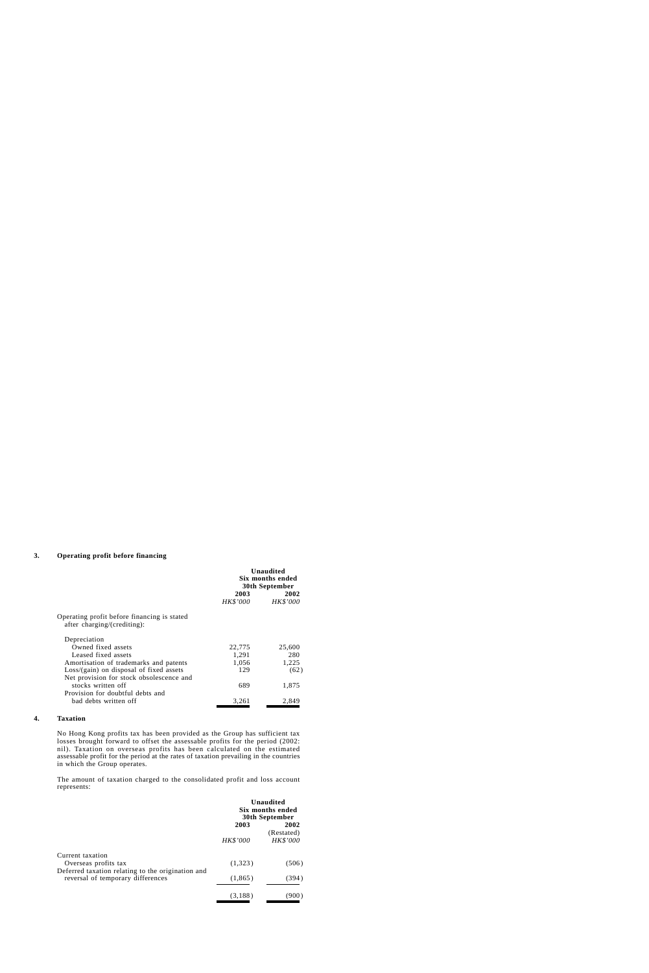#### **3. Operating profit before financing**

|                                                                            | <b>Unaudited</b><br>Six months ended<br>30th September |                         |
|----------------------------------------------------------------------------|--------------------------------------------------------|-------------------------|
|                                                                            | 2003<br><i>HK\$'000</i>                                | 2002<br><b>HK\$'000</b> |
| Operating profit before financing is stated<br>after charging/(crediting): |                                                        |                         |
| Depreciation                                                               |                                                        |                         |
| Owned fixed assets                                                         | 22,775                                                 | 25,600                  |
| Leased fixed assets                                                        | 1,291                                                  | 280                     |
| Amortisation of trademarks and patents                                     | 1,056                                                  | 1,225                   |
| $Loss/(gain)$ on disposal of fixed assets                                  | 129                                                    | (62)                    |
| Net provision for stock obsolescence and                                   |                                                        |                         |
| stocks written off                                                         | 689                                                    | 1,875                   |
| Provision for doubtful debts and                                           |                                                        |                         |
| bad debts written off                                                      | 3,261                                                  | 2,849                   |

#### **4. Taxation**

No Hong Kong profits tax has been provided as the Group has sufficient tax losses brought forward to offset the assessable profits for the period (2002: nil). Taxation on overseas profits has been calculated on the estimated assessable profit for the period at the rates of taxation prevailing in the countries in which the Group operates.

The amount of taxation charged to the consolidated profit and loss account represents:

|                                                                                        | <b>Unaudited</b><br>Six months ended<br>30th September |                                |
|----------------------------------------------------------------------------------------|--------------------------------------------------------|--------------------------------|
|                                                                                        | 2003<br>HK\$'000                                       | 2002<br>(Restated)<br>HK\$'000 |
| Current taxation<br>Overseas profits tax                                               | (1,323)                                                | (506)                          |
| Deferred taxation relating to the origination and<br>reversal of temporary differences | (1,865)                                                | (394)                          |
|                                                                                        | (3,188)                                                | .900                           |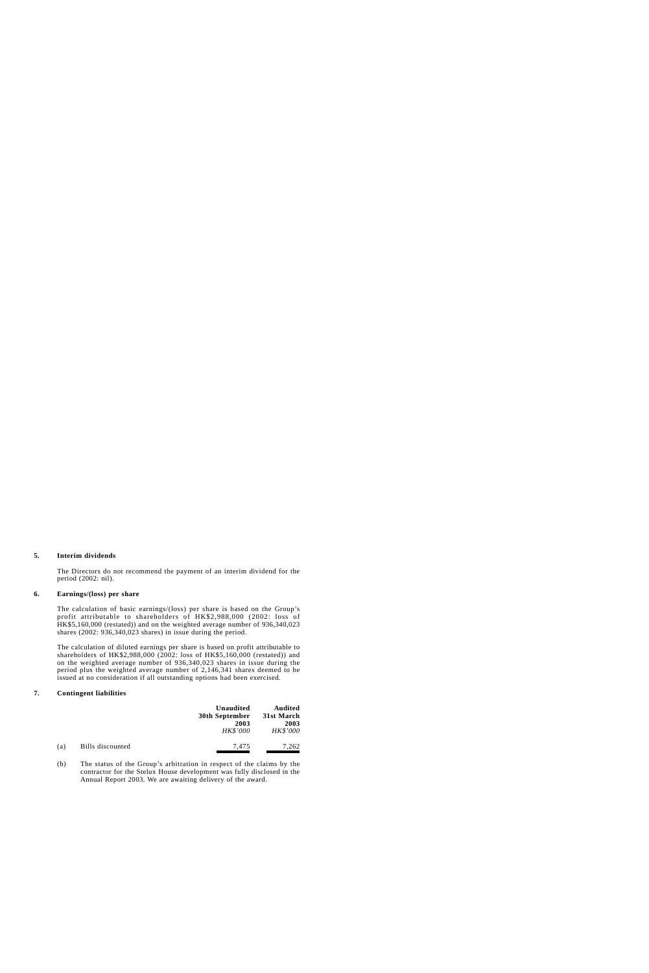#### **5. Interim dividends**

The Directors do not recommend the payment of an interim dividend for the period (2002: nil).

#### **6. Earnings/(loss) per share**

The calculation of basic earnings/(loss) per share is based on the Group's profit attributable to shareholders of HK\$2,988,000 (2002: loss of HK\$5,160,000 (restated)) and on the weighted average number of 936,340,023 shares (2002: 936,340,023 shares) in issue during the period.

The calculation of diluted earnings per share is based on profit attributable to shareholders of HK\$2,988,000 (2002: loss of HK\$5,160,000 (restated)) and on the weighted average number of 936,340,023 shares in issue during the period plus the weighted average number of 2,146,341 shares deemed to be issued at no consideration if all outstanding options had been exercised.

#### **7. Contingent liabilities**

|     |                  | Unaudited<br><b>30th September</b><br>2003<br>HK\$'000 | <b>Audited</b><br>31st March<br>2003<br>HK\$'000 |
|-----|------------------|--------------------------------------------------------|--------------------------------------------------|
| (a) | Bills discounted | 7,475                                                  | 7,262                                            |

(b)The status of the Group's arbitration in respect of the claims by the contractor for the Stelux House development was fully disclosed in the Annual Report 2003. We are awaiting delivery of the award.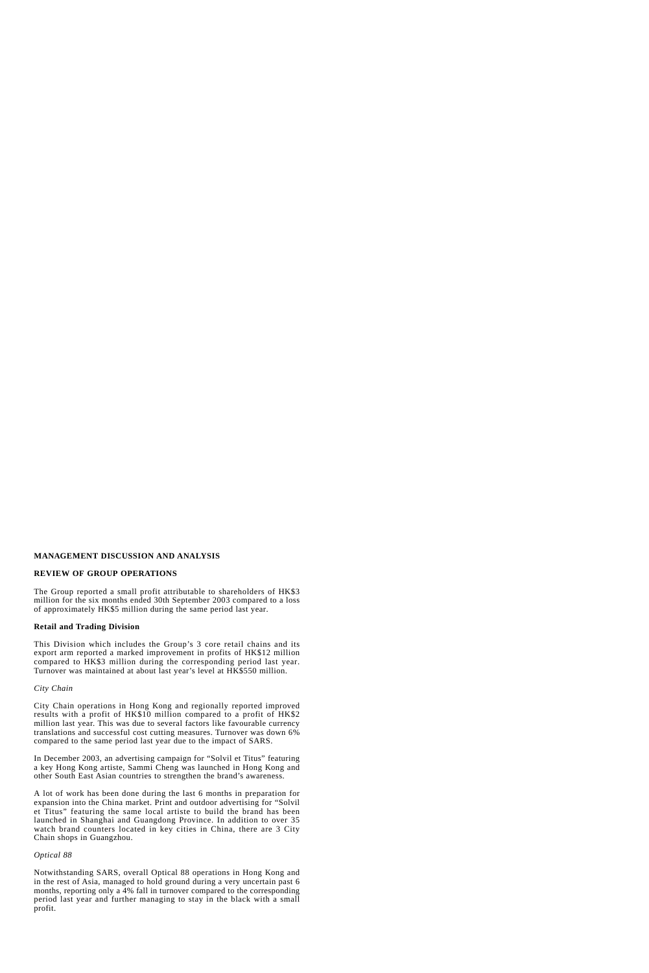# **MANAGEMENT DISCUSSION AND ANALYSIS**

# **REVIEW OF GROUP OPERATIONS**

The Group reported a small profit attributable to shareholders of HK\$3 million for the six months ended 30th September 2003 compared to a loss of approximately HK\$5 million during the same period last year.

# **Retail and Trading Division**

This Division which includes the Group's 3 core retail chains and its export arm reported a marked improvement in profits of HK\$12 million compared to HK\$3 million during the corresponding period last year. Turnover was maintained at about last year's level at HK\$550 million.

*City Chain*

City Chain operations in Hong Kong and regionally reported improved results with a profit of HK\$10 million compared to a profit of HK\$2 million last year. This was due to several factors like favourable currency translations and successful cost cutting measures. Turnover was down 6% compared to the same period last year due to the impact of SARS.

In December 2003, an advertising campaign for "Solvil et Titus" featuring a key Hong Kong artiste, Sammi Cheng was launched in Hong Kong and other South East Asian countries to strengthen the brand's awareness.

A lot of work has been done during the last 6 months in preparation for expansion into the China market. Print and outdoor advertising for "Solvil et Titus" featuring the same local artiste to build the brand has been launched in Shanghai and Guangdong Province. In addition to over 35 watch brand counters located in key cities in China, there are 3 City Chain shops in Guangzhou.

# *Optical 88*

Notwithstanding SARS, overall Optical 88 operations in Hong Kong and in the rest of Asia, managed to hold ground during a very uncertain past 6 months, reporting only a 4% fall in turnover compared to the corresponding period last year and further managing to stay in the black with a small profit.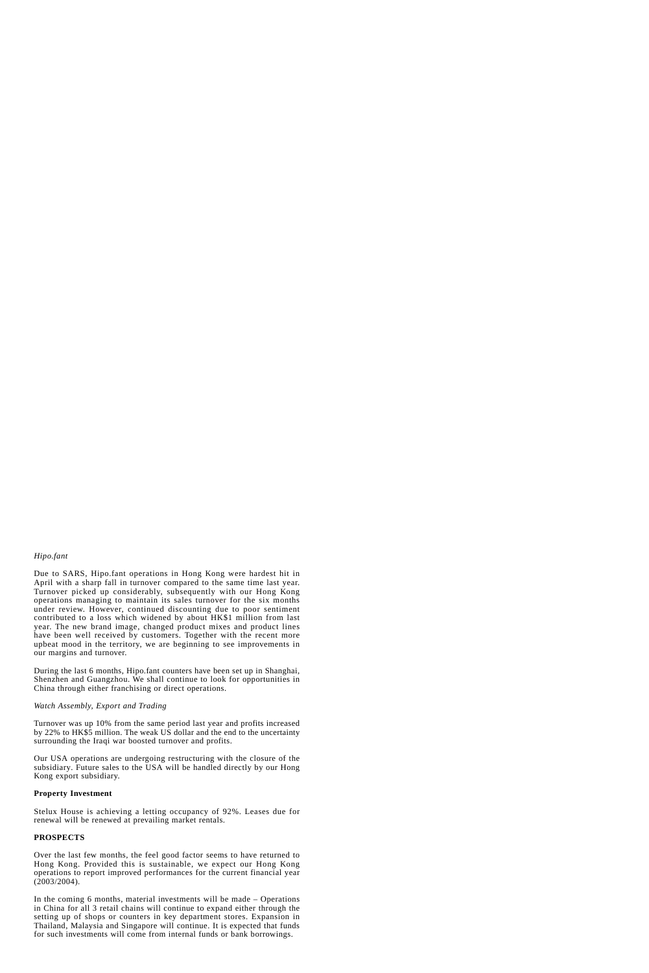# *Hipo.fant*

Due to SARS, Hipo.fant operations in Hong Kong were hardest hit in April with a sharp fall in turnover compared to the same time last year. Turnover picked up considerably, subsequently with our Hong Kong operations managing to maintain its sales turnover for the six months under review. However, continued discounting due to poor sentiment contributed to a loss which widened by about HK\$1 million from last year. The new brand image, changed product mixes and product lines have been well received by customers. Together with the recent more upbeat mood in the territory, we are beginning to see improvements in our margins and turnover.

During the last 6 months, Hipo.fant counters have been set up in Shanghai, Shenzhen and Guangzhou. We shall continue to look for opportunities in China through either franchising or direct operations.

### *Watch Assembly, Export and Trading*

Turnover was up 10% from the same period last year and profits increased by 22% to HK\$5 million. The weak US dollar and the end to the uncertainty surrounding the Iraqi war boosted turnover and profits.

Our USA operations are undergoing restructuring with the closure of the subsidiary. Future sales to the USA will be handled directly by our Hong Kong export subsidiary.

#### **Property Investment**

Stelux House is achieving a letting occupancy of 92%. Leases due for renewal will be renewed at prevailing market rentals.

# **PROSPECTS**

Over the last few months, the feel good factor seems to have returned to Hong Kong. Provided this is sustainable, we expect our Hong Kong operations to report improved performances for the current financial year (2003/2004).

In the coming 6 months, material investments will be made – Operations in China for all 3 retail chains will continue to expand either through the setting up of shops or counters in key department stores. Expansion in Thailand, Malaysia and Singapore will continue. It is expected that funds for such investments will come from internal funds or bank borrowings.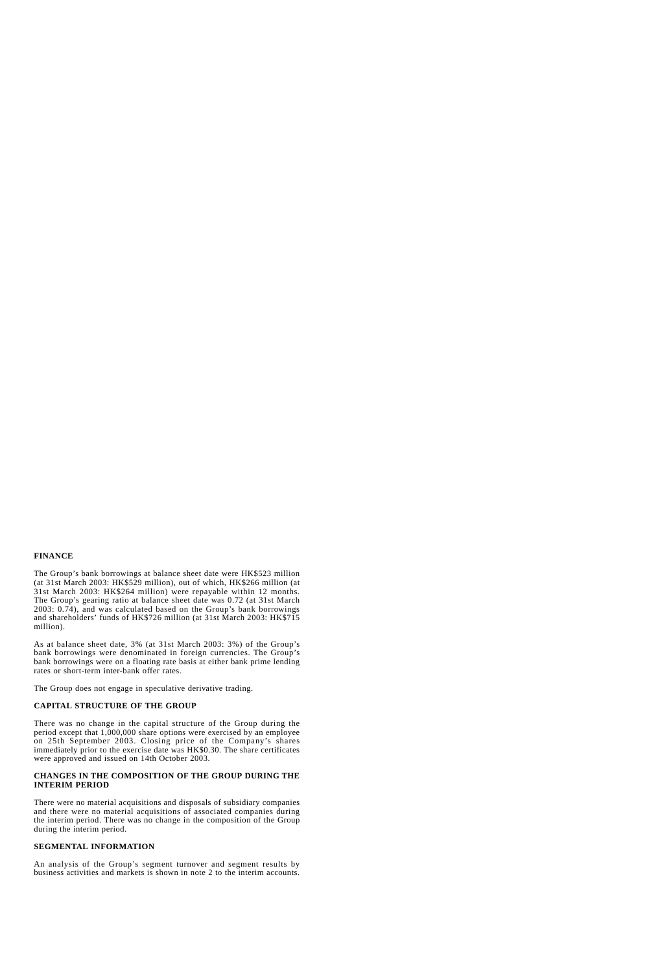# **FINANCE**

The Group's bank borrowings at balance sheet date were HK\$523 million (at 31st March 2003: HK\$529 million), out of which, HK\$266 million (at 31st March 2003: HK\$264 million) were repayable within 12 months. The Group's gearing ratio at balance sheet date was 0.72 (at 31st March 2003: 0.74), and was calculated based on the Group's bank borrowings and shareholders' funds of HK\$726 million (at 31st March 2003: HK\$715 million).

As at balance sheet date, 3% (at 31st March 2003: 3%) of the Group's bank borrowings were denominated in foreign currencies. The Group's bank borrowings were on a floating rate basis at either bank prime lending rates or short-term inter-bank offer rates.

The Group does not engage in speculative derivative trading.

# **CAPITAL STRUCTURE OF THE GROUP**

There was no change in the capital structure of the Group during the period except that 1,000,000 share options were exercised by an employee on 25th September 2003. Closing price of the Company's shares immediately prior to the exercise date was HK\$0.30. The share certificates were approved and issued on 14th October 2003.

# **CHANGES IN THE COMPOSITION OF THE GROUP DURING THE INTERIM PERIOD**

There were no material acquisitions and disposals of subsidiary companies and there were no material acquisitions of associated companies during the interim period. There was no change in the composition of the Group during the interim period.

# **SEGMENTAL INFORMATION**

An analysis of the Group's segment turnover and segment results by business activities and markets is shown in note 2 to the interim accounts.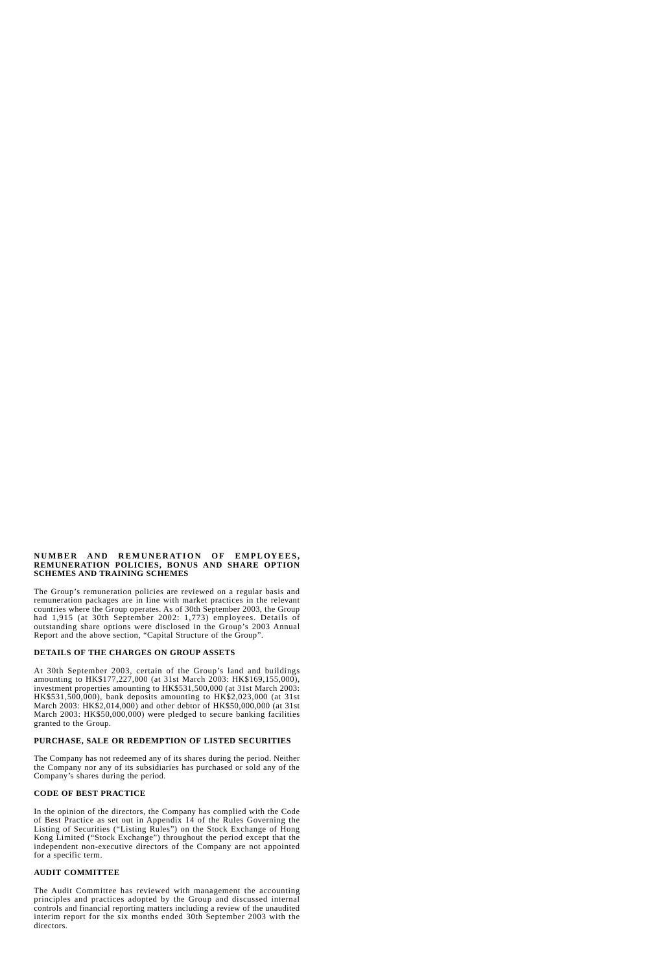### **NUMBER AND REMUNERATION OF EMPLOYEES, REMUNERATION POLICIES, BONUS AND SHARE OPTION SCHEMES AND TRAINING SCHEMES**

The Group's remuneration policies are reviewed on a regular basis and remuneration packages are in line with market practices in the relevant countries where the Group operates. As of 30th September 2003, the Group had 1,915 (at 30th September 2002: 1,773) employees. Details of outstanding share options were disclosed in the Group's 2003 Annual Report and the above section, "Capital Structure of the Group".

# **DETAILS OF THE CHARGES ON GROUP ASSETS**

At 30th September 2003, certain of the Group's land and buildings amounting to HK\$177,227,000 (at 31st March 2003: HK\$169,155,000), investment properties amounting to HK\$531,500,000 (at 31st March 2003: HK\$531,500,000), bank deposits amounting to HK\$2,023,000 (at 31st March 2003: HK\$2,014,000) and other debtor of HK\$50,000,000 (at 31st March 2003: HK\$50,000,000) were pledged to secure banking facilities granted to the Group.

# **PURCHASE, SALE OR REDEMPTION OF LISTED SECURITIES**

The Company has not redeemed any of its shares during the period. Neither the Company nor any of its subsidiaries has purchased or sold any of the Company's shares during the period.

# **CODE OF BEST PRACTICE**

In the opinion of the directors, the Company has complied with the Code of Best Practice as set out in Appendix 14 of the Rules Governing the Listing of Securities ("Listing Rules") on the Stock Exchange of Hong Kong Limited ("Stock Exchange") throughout the period except that the independent non-executive directors of the Company are not appointed for a specific term.

# **AUDIT COMMITTEE**

The Audit Committee has reviewed with management the accounting principles and practices adopted by the Group and discussed internal controls and financial reporting matters including a review of the unaudited interim report for the six months ended 30th September 2003 with the directors.